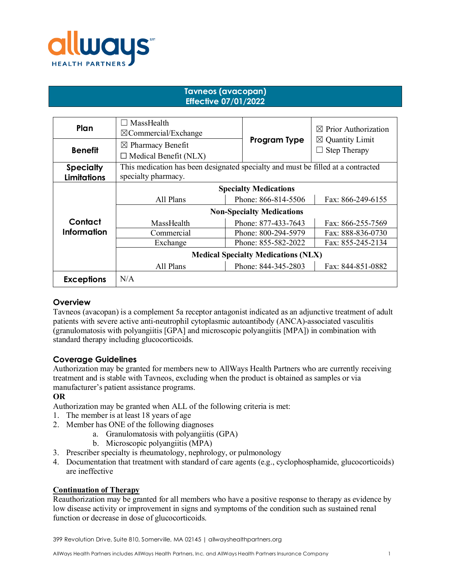

# **Tavneos (avacopan) Effective 07/01/2022**

| Plan               | MassHealth<br>$\boxtimes$ Commercial/Exchange                                    |                     | $\boxtimes$ Prior Authorization                   |
|--------------------|----------------------------------------------------------------------------------|---------------------|---------------------------------------------------|
| <b>Benefit</b>     | $\boxtimes$ Pharmacy Benefit                                                     | Program Type        | $\boxtimes$ Quantity Limit<br><b>Step Therapy</b> |
|                    | $\Box$ Medical Benefit (NLX)                                                     |                     |                                                   |
| <b>Specialty</b>   | This medication has been designated specialty and must be filled at a contracted |                     |                                                   |
| <b>Limitations</b> | specialty pharmacy.                                                              |                     |                                                   |
|                    | <b>Specialty Medications</b>                                                     |                     |                                                   |
|                    | All Plans                                                                        | Phone: 866-814-5506 | Fax: 866-249-6155                                 |
|                    | <b>Non-Specialty Medications</b>                                                 |                     |                                                   |
| Contact            | MassHealth                                                                       | Phone: 877-433-7643 | Fax: 866-255-7569                                 |
| Information        | Commercial                                                                       | Phone: 800-294-5979 | Fax: 888-836-0730                                 |
|                    | Exchange                                                                         | Phone: 855-582-2022 | Fax: 855-245-2134                                 |
|                    | <b>Medical Specialty Medications (NLX)</b>                                       |                     |                                                   |
|                    | All Plans                                                                        | Phone: 844-345-2803 | Fax: 844-851-0882                                 |
| <b>Exceptions</b>  | N/A                                                                              |                     |                                                   |

## **Overview**

Tavneos (avacopan) is a complement 5a receptor antagonist indicated as an adjunctive treatment of adult patients with severe active anti-neutrophil cytoplasmic autoantibody (ANCA)-associated vasculitis (granulomatosis with polyangiitis [GPA] and microscopic polyangiitis [MPA]) in combination with standard therapy including glucocorticoids.

## **Coverage Guidelines**

Authorization may be granted for members new to AllWays Health Partners who are currently receiving treatment and is stable with Tavneos, excluding when the product is obtained as samples or via manufacturer's patient assistance programs.

#### **OR**

Authorization may be granted when ALL of the following criteria is met:

- 1. The member is at least 18 years of age
- 2. Member has ONE of the following diagnoses
	- a. Granulomatosis with polyangiitis (GPA)
	- b. Microscopic polyangiitis (MPA)
- 3. Prescriber specialty is rheumatology, nephrology, or pulmonology
- 4. Documentation that treatment with standard of care agents (e.g., cyclophosphamide, glucocorticoids) are ineffective

### **Continuation of Therapy**

Reauthorization may be granted for all members who have a positive response to therapy as evidence by low disease activity or improvement in signs and symptoms of the condition such as sustained renal function or decrease in dose of glucocorticoids.

399 Revolution Drive, Suite 810, Somerville, MA 02145 | allwayshealthpartners.org